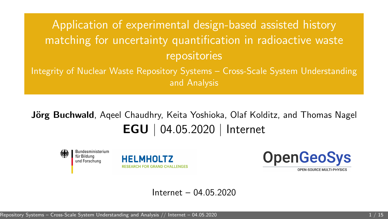# <span id="page-0-0"></span>Application of experimental design-based assisted history matching for uncertainty quantification in radioactive waste repositories Integrity of Nuclear Waste Repository Systems – Cross-Scale System Understanding

and Analysis

## **Jörg Buchwald**, Ageel Chaudhry, Keita Yoshioka, Olaf Kolditz, and Thomas Nagel EGU | 04.05.2020 | Internet





**OpenGeoSys** 

OPEN-SOURCE MULTI-PHYSICS

#### Internet – 04.05.2020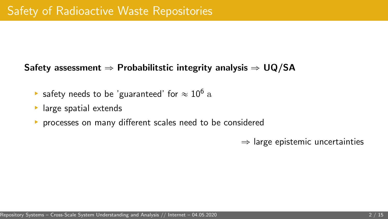### Safety assessment  $\Rightarrow$  Probabilitstic integrity analysis  $\Rightarrow$  UQ/SA

[Application of experimental design-based assisted history matching for uncertainty quantification in radioactive waste repositories – Integrity of Nuclear Waste](#page-0-0)

- $\blacktriangleright$  safety needs to be 'guaranteed' for  $\approx 10^6$  a
- ▶ large spatial extends
- § processes on many different scales need to be considered

 $\Rightarrow$  large epistemic uncertainties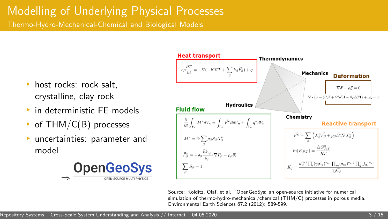# Modelling of Underlying Physical Processes

Thermo-Hydro-Mechanical-Chemical and Biological Models

- ▶ host rocks: rock salt. crystalline, clay rock
- § in deterministic FE models
- of THM/C(B) processes
- § uncertainties: parameter and model





Source: Kolditz, Olaf, et al. "OpenGeoSys: an open-source initiative for numerical simulation of thermo-hydro-mechanical/chemical (THM/C) processes in porous media." Environmental Earth Sciences 67.2 (2012): 589-599. [Application of experimental design-based assisted history matching for uncertainty quantification in radioactive waste repositories – Integrity of Nuclear Waste](#page-0-0)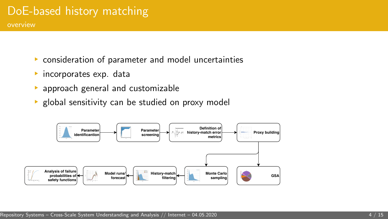### DoE-based history matching overview

- ▶ consideration of parameter and model uncertainties
- ▶ incorporates exp. data
- approach general and customizable
- ▶ global sensitivity can be studied on proxy model

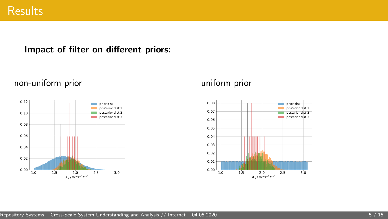### Impact of filter on different priors:



non-uniform prior

#### uniform prior

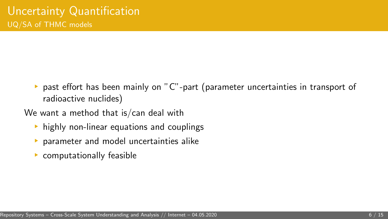§ past effort has been mainly on "C"-part (parameter uncertainties in transport of radioactive nuclides)

[Application of experimental design-based assisted history matching for uncertainty quantification in radioactive waste repositories – Integrity of Nuclear Waste](#page-0-0)

We want a method that is/can deal with

- $\rightarrow$  highly non-linear equations and couplings
- § parameter and model uncertainties alike
- $\blacktriangleright$  computationally feasible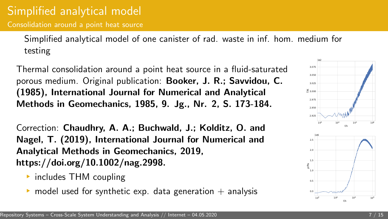Consolidation around a point heat source

Simplified analytical model of one canister of rad. waste in inf. hom. medium for testing

Thermal consolidation around a point heat source in a fluid-saturated porous medium. Original publication: Booker, J. R.; Savvidou, C. (1985), International Journal for Numerical and Analytical Methods in Geomechanics, 1985, 9. Jg., Nr. 2, S. 173-184.

Correction: Chaudhry, A. A.; Buchwald, J.; Kolditz, O. and Nagel, T. (2019), International Journal for Numerical and Analytical Methods in Geomechanics, 2019, https://doi.org/10.1002/nag.2998.

- § includes THM coupling
- model used for synthetic exp. data generation  $+$  analysis

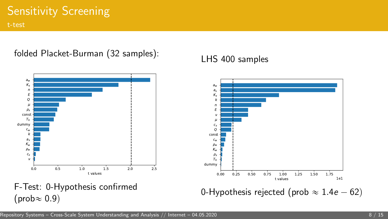## Sensitivity Screening

t-test

### folded Placket-Burman (32 samples):



### LHS 400 samples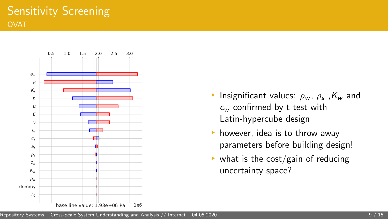

- **•** Insignificant values:  $\rho_w$ ,  $\rho_s$ ,  $K_w$  and  $c_w$  confirmed by t-test with Latin-hypercube design
- $\blacktriangleright$  however, idea is to throw away parameters before building design!
- $\blacktriangleright$  what is the cost/gain of reducing uncertainty space?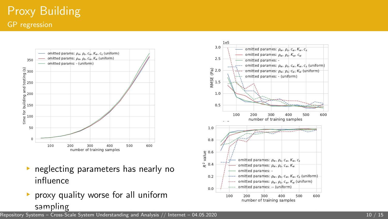## Proxy Building GP regression



- ® ™ neglecting parameters has nearly no<br>• neglecting parameters has nearly no influence s parameters has nearly no
- $\blacktriangleright$  proxy quality worse for all uniform sampling  $A_n$  assisted history matching for uncertainty  $A_n$  in radioactive waste repositories  $A_n$  assisted binarywaste  $n$



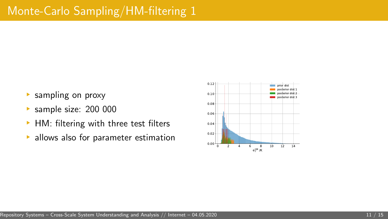- § sampling on proxy
- § sample size: 200 000
- ▶ HM: filtering with three test filters
- ▶ allows also for parameter estimation

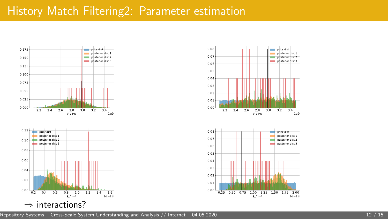### History Match Filtering2: Parameter estimation



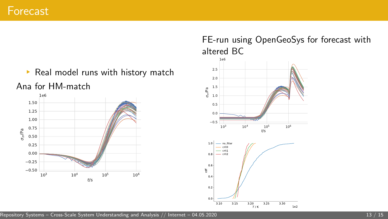

Ana for HM-match



### FE-run using OpenGeoSys for forecast with altered BC



 $A = \frac{1}{\sqrt{1-\frac{1}{2}}}$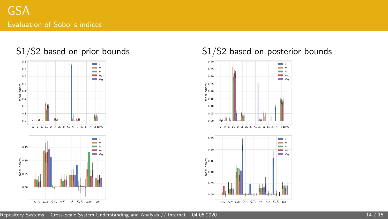

### S1/S2 based on prior bounds

#### S1/S2 based on posterior bounds



[Repository Systems – Cross-Scale System Understanding and Analysis](#page-0-0) // [Internet – 04.05.2020](#page-0-0) 14 / 15 Persent Const